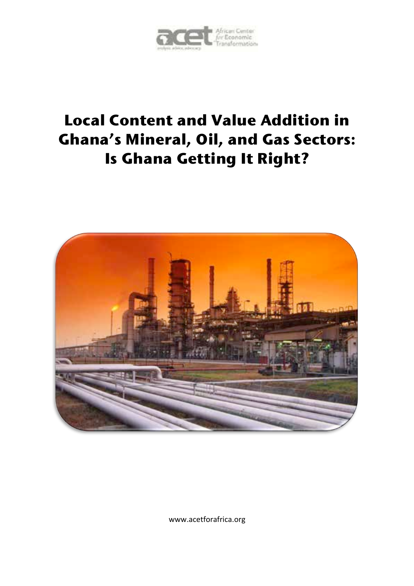

# **Local Content and Value Addition in Ghana's Mineral, Oil, and Gas Sectors: Is Ghana Getting It Right?**



www.acetforafrica.org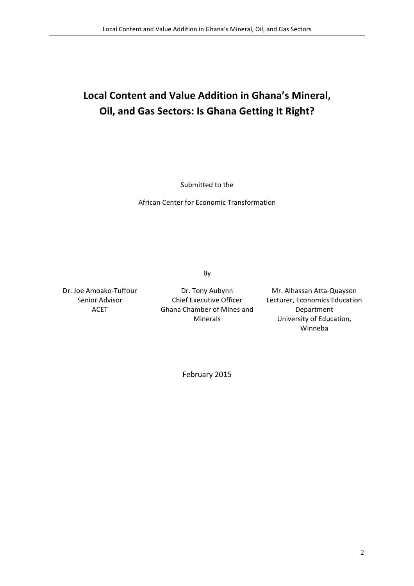# Local Content and Value Addition in Ghana's Mineral, **Oil, and Gas Sectors: Is Ghana Getting It Right?**

Submitted to the

African Center for Economic Transformation

By

Dr. Joe Amoako-Tuffour Senior Advisor ACET

Dr. Tony Aubynn Chief Executive Officer Ghana Chamber of Mines and Minerals

Mr. Alhassan Atta-Quayson Lecturer, Economics Education Department University of Education, Winneba

February 2015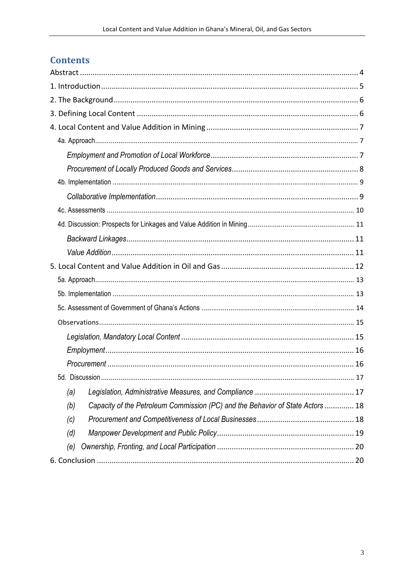## **Contents**

|                                                                                       | . 17 |
|---------------------------------------------------------------------------------------|------|
| (a)                                                                                   |      |
| Capacity of the Petroleum Commission (PC) and the Behavior of State Actors  18<br>(b) |      |
| (c)                                                                                   |      |
| (d)                                                                                   |      |
| (e)                                                                                   |      |
|                                                                                       |      |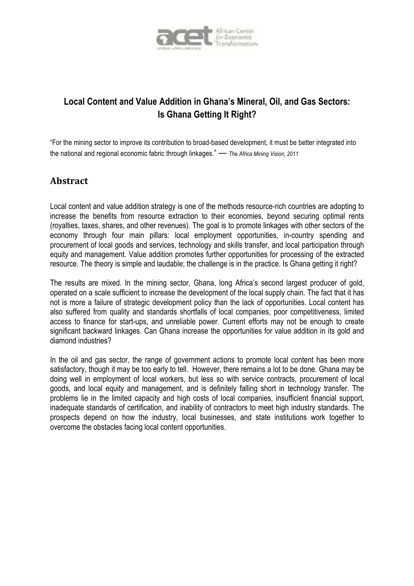

## **Local Content and Value Addition in Ghana's Mineral, Oil, and Gas Sectors: Is Ghana Getting It Right?**

"For the mining sector to improve its contribution to broad-based development, it must be better integrated into the national and regional economic fabric through linkages." — *The Africa Mining Vision, 2011*

## **Abstract**

Local content and value addition strategy is one of the methods resource-rich countries are adopting to increase the benefits from resource extraction to their economies, beyond securing optimal rents (royalties, taxes, shares, and other revenues). The goal is to promote linkages with other sectors of the economy through four main pillars: local employment opportunities, in-country spending and procurement of local goods and services, technology and skills transfer, and local participation through equity and management. Value addition promotes further opportunities for processing of the extracted resource. The theory is simple and laudable; the challenge is in the practice. Is Ghana getting it right?

The results are mixed. In the mining sector, Ghana, long Africa's second largest producer of gold, operated on a scale sufficient to increase the development of the local supply chain. The fact that it has not is more a failure of strategic development policy than the lack of opportunities. Local content has also suffered from quality and standards shortfalls of local companies, poor competitiveness, limited access to finance for start-ups, and unreliable power. Current efforts may not be enough to create significant backward linkages. Can Ghana increase the opportunities for value addition in its gold and diamond industries?

In the oil and gas sector, the range of government actions to promote local content has been more satisfactory, though it may be too early to tell. However, there remains a lot to be done. Ghana may be doing well in employment of local workers, but less so with service contracts, procurement of local goods, and local equity and management, and is definitely falling short in technology transfer. The problems lie in the limited capacity and high costs of local companies, insufficient financial support, inadequate standards of certification, and inability of contractors to meet high industry standards. The prospects depend on how the industry, local businesses, and state institutions work together to overcome the obstacles facing local content opportunities.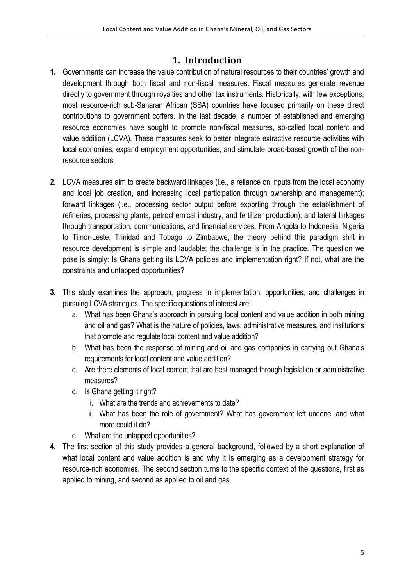## **1. Introduction**

- **1.** Governments can increase the value contribution of natural resources to their countries' growth and development through both fiscal and non-fiscal measures. Fiscal measures generate revenue directly to government through royalties and other tax instruments. Historically, with few exceptions, most resource-rich sub-Saharan African (SSA) countries have focused primarily on these direct contributions to government coffers. In the last decade, a number of established and emerging resource economies have sought to promote non-fiscal measures, so-called local content and value addition (LCVA). These measures seek to better integrate extractive resource activities with local economies, expand employment opportunities, and stimulate broad-based growth of the nonresource sectors.
- **2.** LCVA measures aim to create backward linkages (i.e., a reliance on inputs from the local economy and local job creation, and increasing local participation through ownership and management); forward linkages (i.e., processing sector output before exporting through the establishment of refineries, processing plants, petrochemical industry, and fertilizer production); and lateral linkages through transportation, communications, and financial services. From Angola to Indonesia, Nigeria to Timor-Leste, Trinidad and Tobago to Zimbabwe, the theory behind this paradigm shift in resource development is simple and laudable; the challenge is in the practice. The question we pose is simply: Is Ghana getting its LCVA policies and implementation right? If not, what are the constraints and untapped opportunities?
- **3.** This study examines the approach, progress in implementation, opportunities, and challenges in pursuing LCVA strategies. The specific questions of interest are:
	- a. What has been Ghana's approach in pursuing local content and value addition in both mining and oil and gas? What is the nature of policies, laws, administrative measures, and institutions that promote and regulate local content and value addition?
	- b. What has been the response of mining and oil and gas companies in carrying out Ghana's requirements for local content and value addition?
	- c. Are there elements of local content that are best managed through legislation or administrative measures?
	- d. Is Ghana getting it right?
		- i. What are the trends and achievements to date?
		- ii. What has been the role of government? What has government left undone, and what more could it do?
	- e. What are the untapped opportunities?
- **4.** The first section of this study provides a general background, followed by a short explanation of what local content and value addition is and why it is emerging as a development strategy for resource-rich economies. The second section turns to the specific context of the questions, first as applied to mining, and second as applied to oil and gas.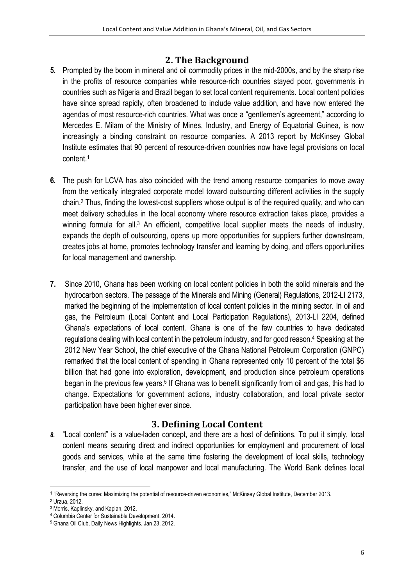## **2. The Background**

- **5.** Prompted by the boom in mineral and oil commodity prices in the mid-2000s, and by the sharp rise in the profits of resource companies while resource-rich countries stayed poor, governments in countries such as Nigeria and Brazil began to set local content requirements. Local content policies have since spread rapidly, often broadened to include value addition, and have now entered the agendas of most resource-rich countries. What was once a "gentlemen's agreement," according to Mercedes E. Milam of the Ministry of Mines, Industry, and Energy of Equatorial Guinea, is now increasingly a binding constraint on resource companies. A 2013 report by McKinsey Global Institute estimates that 90 percent of resource-driven countries now have legal provisions on local content.1
- **6.** The push for LCVA has also coincided with the trend among resource companies to move away from the vertically integrated corporate model toward outsourcing different activities in the supply chain.2 Thus, finding the lowest-cost suppliers whose output is of the required quality, and who can meet delivery schedules in the local economy where resource extraction takes place, provides a winning formula for all.<sup>3</sup> An efficient, competitive local supplier meets the needs of industry, expands the depth of outsourcing, opens up more opportunities for suppliers further downstream, creates jobs at home, promotes technology transfer and learning by doing, and offers opportunities for local management and ownership.
- **7.** Since 2010, Ghana has been working on local content policies in both the solid minerals and the hydrocarbon sectors. The passage of the Minerals and Mining (General) Regulations, 2012-LI 2173, marked the beginning of the implementation of local content policies in the mining sector. In oil and gas, the Petroleum (Local Content and Local Participation Regulations), 2013-LI 2204, defined Ghana's expectations of local content. Ghana is one of the few countries to have dedicated regulations dealing with local content in the petroleum industry, and for good reason.4 Speaking at the 2012 New Year School, the chief executive of the Ghana National Petroleum Corporation (GNPC) remarked that the local content of spending in Ghana represented only 10 percent of the total \$6 billion that had gone into exploration, development, and production since petroleum operations began in the previous few years.<sup>5</sup> If Ghana was to benefit significantly from oil and gas, this had to change. Expectations for government actions, industry collaboration, and local private sector participation have been higher ever since.

## **3. Defining Local Content**

*8.* "Local content" is a value-laden concept, and there are a host of definitions. To put it simply, local content means securing direct and indirect opportunities for employment and procurement of local goods and services, while at the same time fostering the development of local skills, technology transfer, and the use of local manpower and local manufacturing. The World Bank defines local

<u> 1989 - Jan Samuel Barbara, margaret e</u>

<sup>1</sup> "Reversing the curse: Maximizing the potential of resource-driven economies," McKinsey Global Institute, December 2013.

<sup>2</sup> Urzua, 2012.

<sup>3</sup> Morris, Kaplinsky, and Kaplan, 2012.

<sup>4</sup> Columbia Center for Sustainable Development, 2014.

<sup>5</sup> Ghana Oil Club, Daily News Highlights, Jan 23, 2012.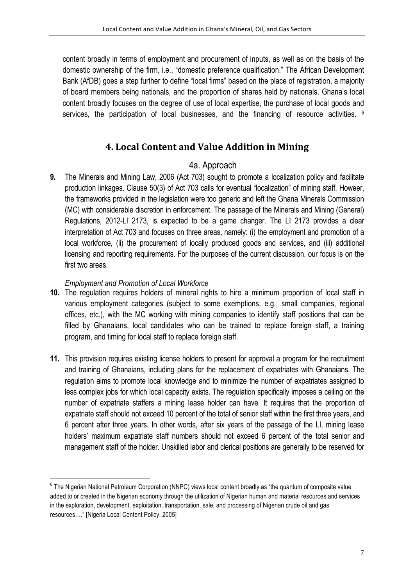content broadly in terms of employment and procurement of inputs, as well as on the basis of the domestic ownership of the firm, i.e., "domestic preference qualification." The African Development Bank (AfDB) goes a step further to define "local firms" based on the place of registration, a majority of board members being nationals, and the proportion of shares held by nationals. Ghana's local content broadly focuses on the degree of use of local expertise, the purchase of local goods and services, the participation of local businesses, and the financing of resource activities. <sup>6</sup>

## **4. Local Content and Value Addition in Mining**

## 4a. Approach

**9.** The Minerals and Mining Law, 2006 (Act 703) sought to promote a localization policy and facilitate production linkages. Clause 50(3) of Act 703 calls for eventual "localization" of mining staff. Howeer, the frameworks provided in the legislation were too generic and left the Ghana Minerals Commission (MC) with considerable discretion in enforcement. The passage of the Minerals and Mining (General) Regulations, 2012-LI 2173, is expected to be a game changer. The LI 2173 provides a clear interpretation of Act 703 and focuses on three areas, namely: (i) the employment and promotion of a local workforce, (ii) the procurement of locally produced goods and services, and (iii) additional licensing and reporting requirements. For the purposes of the current discussion, our focus is on the first two areas.

#### *Employment and Promotion of Local Workforce*

<u> 1989 - Jan Samuel Barbara, margaret e</u>

- **10.** The regulation requires holders of mineral rights to hire a minimum proportion of local staff in various employment categories (subject to some exemptions, e.g., small companies, regional offices, etc.), with the MC working with mining companies to identify staff positions that can be filled by Ghanaians, local candidates who can be trained to replace foreign staff, a training program, and timing for local staff to replace foreign staff.
- **11.** This provision requires existing license holders to present for approval a program for the recruitment and training of Ghanaians, including plans for the replacement of expatriates with Ghanaians. The regulation aims to promote local knowledge and to minimize the number of expatriates assigned to less complex jobs for which local capacity exists. The regulation specifically imposes a ceiling on the number of expatriate staffers a mining lease holder can have. It requires that the proportion of expatriate staff should not exceed 10 percent of the total of senior staff within the first three years, and 6 percent after three years. In other words, after six years of the passage of the LI, mining lease holders' maximum expatriate staff numbers should not exceed 6 percent of the total senior and management staff of the holder. Unskilled labor and clerical positions are generally to be reserved for

<sup>&</sup>lt;sup>6</sup> The Nigerian National Petroleum Corporation (NNPC) views local content broadly as "the quantum of composite value added to or created in the Nigerian economy through the utilization of Nigerian human and material resources and services in the exploration, development, exploitation, transportation, sale, and processing of Nigerian crude oil and gas resources…." [Nigeria Local Content Policy, 2005]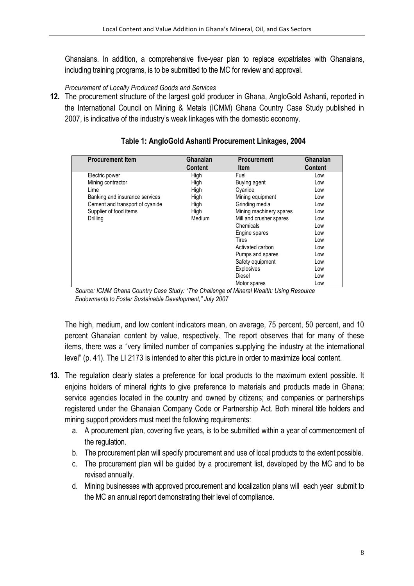Ghanaians. In addition, a comprehensive five-year plan to replace expatriates with Ghanaians, including training programs, is to be submitted to the MC for review and approval.

#### *Procurement of Locally Produced Goods and Services*

**12.** The procurement structure of the largest gold producer in Ghana, AngloGold Ashanti, reported in the International Council on Mining & Metals (ICMM) Ghana Country Case Study published in 2007, is indicative of the industry's weak linkages with the domestic economy.

| <b>Procurement Item</b>         | Ghanaian       | <b>Procurement</b>      | Ghanaian       |
|---------------------------------|----------------|-------------------------|----------------|
|                                 | <b>Content</b> | <b>Item</b>             | <b>Content</b> |
| Electric power                  | High           | Fuel                    | Low            |
| Mining contractor               | High           | Buying agent            | Low            |
| Lime                            | High           | Cyanide                 | Low            |
| Banking and insurance services  | High           | Mining equipment        | Low            |
| Cement and transport of cyanide | High           | Grinding media          | Low            |
| Supplier of food items          | High           | Mining machinery spares | Low            |
| Drilling                        | Medium         | Mill and crusher spares | Low            |
|                                 |                | Chemicals               | Low            |
|                                 |                | Engine spares           | Low            |
|                                 |                | Tires                   | Low            |
|                                 |                | Activated carbon        | Low            |
|                                 |                | Pumps and spares        | Low            |
|                                 |                | Safety equipment        | Low            |
|                                 |                | Explosives              | Low            |
|                                 |                | Diesel                  | Low            |
|                                 |                | Motor spares            | Low            |

#### **Table 1: AngloGold Ashanti Procurement Linkages, 2004**

*Source: ICMM Ghana Country Case Study: "The Challenge of Mineral Wealth: Using Resource Endowments to Foster Sustainable Development," July 2007* 

The high, medium, and low content indicators mean, on average, 75 percent, 50 percent, and 10 percent Ghanaian content by value, respectively. The report observes that for many of these items, there was a "very limited number of companies supplying the industry at the international level" (p. 41). The LI 2173 is intended to alter this picture in order to maximize local content.

- **13.** The regulation clearly states a preference for local products to the maximum extent possible. It enjoins holders of mineral rights to give preference to materials and products made in Ghana; service agencies located in the country and owned by citizens; and companies or partnerships registered under the Ghanaian Company Code or Partnership Act. Both mineral title holders and mining support providers must meet the following requirements:
	- a. A procurement plan, covering five years, is to be submitted within a year of commencement of the regulation.
	- b. The procurement plan will specify procurement and use of local products to the extent possible.
	- c. The procurement plan will be guided by a procurement list, developed by the MC and to be revised annually.
	- d. Mining businesses with approved procurement and localization plans will each year submit to the MC an annual report demonstrating their level of compliance.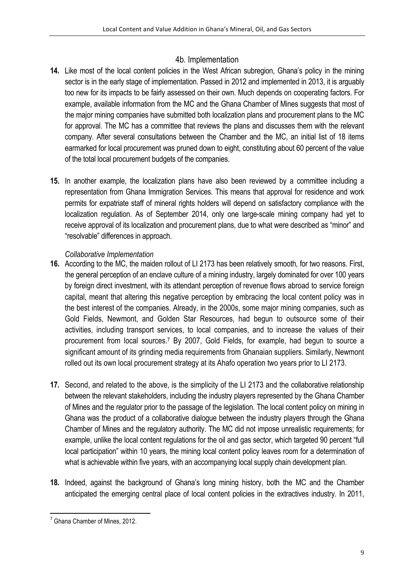## 4b*.* Implementation

- **14.** Like most of the local content policies in the West African subregion, Ghana's policy in the mining sector is in the early stage of implementation. Passed in 2012 and implemented in 2013, it is arguably too new for its impacts to be fairly assessed on their own. Much depends on cooperating factors. For example, available information from the MC and the Ghana Chamber of Mines suggests that most of the major mining companies have submitted both localization plans and procurement plans to the MC for approval. The MC has a committee that reviews the plans and discusses them with the relevant company. After several consultations between the Chamber and the MC, an initial list of 18 items earmarked for local procurement was pruned down to eight, constituting about 60 percent of the value of the total local procurement budgets of the companies.
- **15.** In another example, the localization plans have also been reviewed by a committee including a representation from Ghana Immigration Services. This means that approval for residence and work permits for expatriate staff of mineral rights holders will depend on satisfactory compliance with the localization regulation. As of September 2014, only one large-scale mining company had yet to receive approval of its localization and procurement plans, due to what were described as "minor" and "resolvable" differences in approach.

### *Collaborative Implementation*

- **16.** According to the MC, the maiden rollout of LI 2173 has been relatively smooth, for two reasons. First, the general perception of an enclave culture of a mining industry, largely dominated for over 100 years by foreign direct investment, with its attendant perception of revenue flows abroad to service foreign capital, meant that altering this negative perception by embracing the local content policy was in the best interest of the companies. Already, in the 2000s, some major mining companies, such as Gold Fields, Newmont, and Golden Star Resources, had begun to outsource some of their activities, including transport services, to local companies, and to increase the values of their procurement from local sources.7 By 2007, Gold Fields, for example, had begun to source a significant amount of its grinding media requirements from Ghanaian suppliers. Similarly, Newmont rolled out its own local procurement strategy at its Ahafo operation two years prior to LI 2173.
- **17.** Second, and related to the above, is the simplicity of the LI 2173 and the collaborative relationship between the relevant stakeholders, including the industry players represented by the Ghana Chamber of Mines and the regulator prior to the passage of the legislation. The local content policy on mining in Ghana was the product of a collaborative dialogue between the industry players through the Ghana Chamber of Mines and the regulatory authority. The MC did not impose unrealistic requirements; for example, unlike the local content regulations for the oil and gas sector, which targeted 90 percent "full local participation" within 10 years, the mining local content policy leaves room for a determination of what is achievable within five years, with an accompanying local supply chain development plan.
- **18.** Indeed, against the background of Ghana's long mining history, both the MC and the Chamber anticipated the emerging central place of local content policies in the extractives industry. In 2011,

<sup>&</sup>lt;u> 1989 - Jan Samuel Barbara, margaret e</u> <sup>7</sup> Ghana Chamber of Mines, 2012.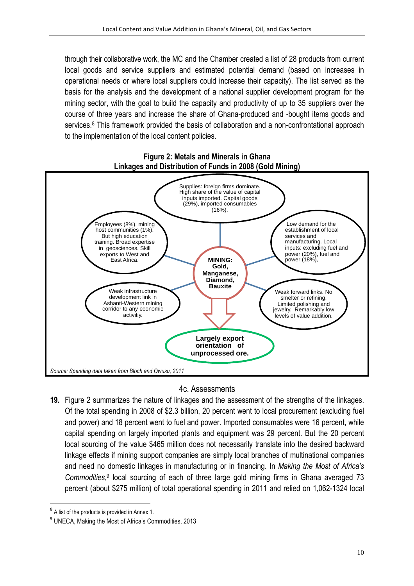through their collaborative work, the MC and the Chamber created a list of 28 products from current local goods and service suppliers and estimated potential demand (based on increases in operational needs or where local suppliers could increase their capacity). The list served as the basis for the analysis and the development of a national supplier development program for the mining sector, with the goal to build the capacity and productivity of up to 35 suppliers over the course of three years and increase the share of Ghana-produced and -bought items goods and services.<sup>8</sup> This framework provided the basis of collaboration and a non-confrontational approach to the implementation of the local content policies.



# **Figure 2: Metals and Minerals in Ghana**

### 4c. Assessments

**19.** Figure 2 summarizes the nature of linkages and the assessment of the strengths of the linkages. Of the total spending in 2008 of \$2.3 billion, 20 percent went to local procurement (excluding fuel and power) and 18 percent went to fuel and power. Imported consumables were 16 percent, while capital spending on largely imported plants and equipment was 29 percent. But the 20 percent local sourcing of the value \$465 million does not necessarily translate into the desired backward linkage effects if mining support companies are simply local branches of multinational companies and need no domestic linkages in manufacturing or in financing. In *Making the Most of Africa's Commodities*, <sup>9</sup> local sourcing of each of three large gold mining firms in Ghana averaged 73 percent (about \$275 million) of total operational spending in 2011 and relied on 1,062-1324 local

 <sup>8</sup> A list of the products is provided in Annex 1.

<sup>9</sup> UNECA, Making the Most of Africa's Commodities, 2013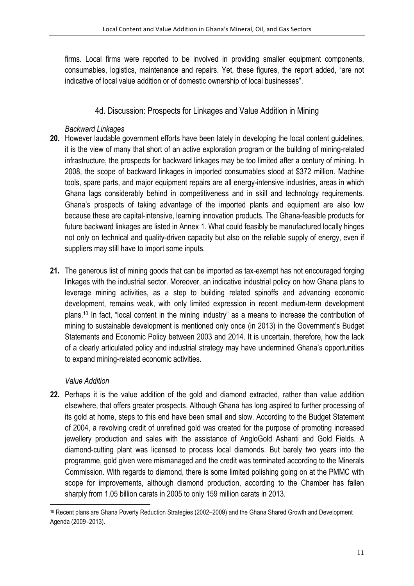firms. Local firms were reported to be involved in providing smaller equipment components, consumables, logistics, maintenance and repairs. Yet, these figures, the report added, "are not indicative of local value addition or of domestic ownership of local businesses".

### 4d. Discussion: Prospects for Linkages and Value Addition in Mining

#### *Backward Linkages*

- **20.** However laudable government efforts have been lately in developing the local content guidelines, it is the view of many that short of an active exploration program or the building of mining-related infrastructure, the prospects for backward linkages may be too limited after a century of mining. In 2008, the scope of backward linkages in imported consumables stood at \$372 million. Machine tools, spare parts, and major equipment repairs are all energy-intensive industries, areas in which Ghana lags considerably behind in competitiveness and in skill and technology requirements. Ghana's prospects of taking advantage of the imported plants and equipment are also low because these are capital-intensive, learning innovation products. The Ghana-feasible products for future backward linkages are listed in Annex 1. What could feasibly be manufactured locally hinges not only on technical and quality-driven capacity but also on the reliable supply of energy, even if suppliers may still have to import some inputs.
- **21.** The generous list of mining goods that can be imported as tax-exempt has not encouraged forging linkages with the industrial sector. Moreover, an indicative industrial policy on how Ghana plans to leverage mining activities, as a step to building related spinoffs and advancing economic development, remains weak, with only limited expression in recent medium-term development plans.10 In fact, "local content in the mining industry" as a means to increase the contribution of mining to sustainable development is mentioned only once (in 2013) in the Government's Budget Statements and Economic Policy between 2003 and 2014. It is uncertain, therefore, how the lack of a clearly articulated policy and industrial strategy may have undermined Ghana's opportunities to expand mining-related economic activities.

### *Value Addition*

<u> 1989 - Jan Samuel Barbara, margaret e</u>

**22.** Perhaps it is the value addition of the gold and diamond extracted, rather than value addition elsewhere, that offers greater prospects. Although Ghana has long aspired to further processing of its gold at home, steps to this end have been small and slow. According to the Budget Statement of 2004, a revolving credit of unrefined gold was created for the purpose of promoting increased jewellery production and sales with the assistance of AngloGold Ashanti and Gold Fields. A diamond-cutting plant was licensed to process local diamonds. But barely two years into the programme, gold given were mismanaged and the credit was terminated according to the Minerals Commission. With regards to diamond, there is some limited polishing going on at the PMMC with scope for improvements, although diamond production, according to the Chamber has fallen sharply from 1.05 billion carats in 2005 to only 159 million carats in 2013.

<sup>10</sup> Recent plans are Ghana Poverty Reduction Strategies (2002–2009) and the Ghana Shared Growth and Development Agenda (2009–2013).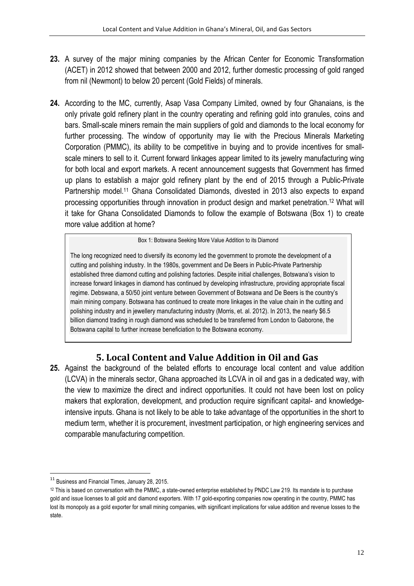- 23. A survey of the major mining companies by the African Center for Economic Transformation (ACET) in 2012 showed that between 2000 and 2012, further domestic processing of gold ranged from nil (Newmont) to below 20 percent (Gold Fields) of minerals.
- **24.** According to the MC, currently, Asap Vasa Company Limited, owned by four Ghanaians, is the only private gold refinery plant in the country operating and refining gold into granules, coins and bars. Small-scale miners remain the main suppliers of gold and diamonds to the local economy for further processing. The window of opportunity may lie with the Precious Minerals Marketing Corporation (PMMC), its ability to be competitive in buying and to provide incentives for smallscale miners to sell to it. Current forward linkages appear limited to its jewelry manufacturing wing for both local and export markets. A recent announcement suggests that Government has firmed up plans to establish a major gold refinery plant by the end of 2015 through a Public-Private Partnership model.11 Ghana Consolidated Diamonds, divested in 2013 also expects to expand processing opportunities through innovation in product design and market penetration.12 What will it take for Ghana Consolidated Diamonds to follow the example of Botswana (Box 1) to create more value addition at home?

Box 1: Botswana Seeking More Value Addition to its Diamond

The long recognized need to diversify its economy led the government to promote the development of a cutting and polishing industry. In the 1980s, government and De Beers in Public-Private Partnership established three diamond cutting and polishing factories. Despite initial challenges, Botswana's vision to increase forward linkages in diamond has continued by developing infrastructure, providing appropriate fiscal regime. Debswana, a 50/50 joint venture between Government of Botswana and De Beers is the country's main mining company. Botswana has continued to create more linkages in the value chain in the cutting and polishing industry and in jewellery manufacturing industry (Morris, et. al. 2012). In 2013, the nearly \$6.5 billion diamond trading in rough diamond was scheduled to be transferred from London to Gaborone, the Botswana capital to further increase beneficiation to the Botswana economy.

## **5. Local Content and Value Addition in Oil and Gas**

**25.** Against the background of the belated efforts to encourage local content and value addition (LCVA) in the minerals sector, Ghana approached its LCVA in oil and gas in a dedicated way, with the view to maximize the direct and indirect opportunities. It could not have been lost on policy makers that exploration, development, and production require significant capital- and knowledgeintensive inputs. Ghana is not likely to be able to take advantage of the opportunities in the short to medium term, whether it is procurement, investment participation, or high engineering services and comparable manufacturing competition.

<u> 1989 - Jan Samuel Barbara, margaret e</u>

<sup>&</sup>lt;sup>11</sup> Business and Financial Times, January 28, 2015.

<sup>&</sup>lt;sup>12</sup> This is based on conversation with the PMMC, a state-owned enterprise established by PNDC Law 219. Its mandate is to purchase gold and issue licenses to all gold and diamond exporters. With 17 gold-exporting companies now operating in the country, PMMC has lost its monopoly as a gold exporter for small mining companies, with significant implications for value addition and revenue losses to the state.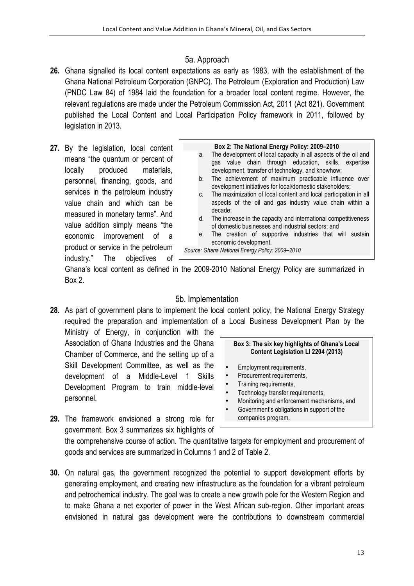### 5a. Approach

- **26.** Ghana signalled its local content expectations as early as 1983, with the establishment of the Ghana National Petroleum Corporation (GNPC). The Petroleum (Exploration and Production) Law (PNDC Law 84) of 1984 laid the foundation for a broader local content regime. However, the relevant regulations are made under the Petroleum Commission Act, 2011 (Act 821). Government published the Local Content and Local Participation Policy framework in 2011, followed by legislation in 2013.
- **27.** By the legislation, local content means "the quantum or percent of locally produced materials, personnel, financing, goods, and services in the petroleum industry value chain and which can be measured in monetary terms". And value addition simply means "the economic improvement of a product or service in the petroleum industry." The objectives of

#### **Box 2: The National Energy Policy: 2009–2010** a. The development of local capacity in all aspects of the oil and gas value chain through education, skills, expertise development, transfer of technology, and knowhow; b. The achievement of maximum practicable influence over development initiatives for local/domestic stakeholders; c. The maximization of local content and local participation in all aspects of the oil and gas industry value chain within a decade; d. The increase in the capacity and international competitiveness of domestic businesses and industrial sectors; and e. The creation of supportive industries that will sustain economic development. *Source: Ghana National Energy Policy: 2009***–***2010*

Ghana's local content as defined in the 2009-2010 National Energy Policy are summarized in Box 2.

#### 5b. Implementation

**28.** As part of government plans to implement the local content policy, the National Energy Strategy required the preparation and implementation of a Local Business Development Plan by the

Ministry of Energy, in conjunction with the Association of Ghana Industries and the Ghana Chamber of Commerce, and the setting up of a Skill Development Committee, as well as the development of a Middle-Level 1 Skills Development Program to train middle-level personnel.

- 
- **29.** The framework envisioned a strong role for government. Box 3 summarizes six highlights of

#### **Box 3: The six key highlights of Ghana's Local Content Legislation LI 2204 (2013)**

- Employment requirements,
- Procurement requirements,
- Training requirements,
- Technology transfer requirements,
- Monitoring and enforcement mechanisms, and
- Government's obligations in support of the companies program.

the comprehensive course of action. The quantitative targets for employment and procurement of goods and services are summarized in Columns 1 and 2 of Table 2.

**30.** On natural gas, the government recognized the potential to support development efforts by generating employment, and creating new infrastructure as the foundation for a vibrant petroleum and petrochemical industry. The goal was to create a new growth pole for the Western Region and to make Ghana a net exporter of power in the West African sub-region. Other important areas envisioned in natural gas development were the contributions to downstream commercial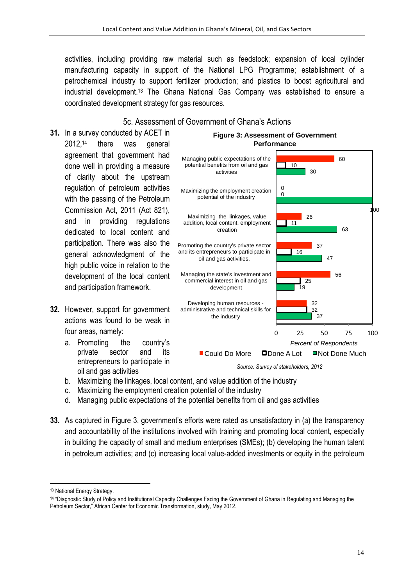activities, including providing raw material such as feedstock; expansion of local cylinder manufacturing capacity in support of the National LPG Programme; establishment of a petrochemical industry to support fertilizer production; and plastics to boost agricultural and industrial development.13 The Ghana National Gas Company was established to ensure a coordinated development strategy for gas resources.

#### 5c. Assessment of Government of Ghana's Actions

- **31.** In a survey conducted by ACET in 2012,14 there was general agreement that government had done well in providing a measure of clarity about the upstream regulation of petroleum activities with the passing of the Petroleum Commission Act, 2011 (Act 821), and in providing regulations dedicated to local content and participation. There was also the general acknowledgment of the high public voice in relation to the development of the local content and participation framework.
- **32.** However, support for government actions was found to be weak in four areas, namely:
	- a. Promoting the country's private sector and its entrepreneurs to participate in oil and gas activities



## 0 25 50 75 100 Percent of Respondents ■ Could Do More ■ Done A Lot ■ Not Done Much

*Source: Survey of stakeholders, 2012*

- b. Maximizing the linkages, local content, and value addition of the industry
- c. Maximizing the employment creation potential of the industry
- d. Managing public expectations of the potential benefits from oil and gas activities
- **33.** As captured in Figure 3, government's efforts were rated as unsatisfactory in (a) the transparency and accountability of the institutions involved with training and promoting local content, especially in building the capacity of small and medium enterprises (SMEs); (b) developing the human talent in petroleum activities; and (c) increasing local value-added investments or equity in the petroleum

<u> 1989 - Jan Samuel Barbara, margaret e</u>

<sup>13</sup> National Energy Strategy.

<sup>14</sup> "Diagnostic Study of Policy and Institutional Capacity Challenges Facing the Government of Ghana in Regulating and Managing the Petroleum Sector," African Center for Economic Transformation, study, May 2012.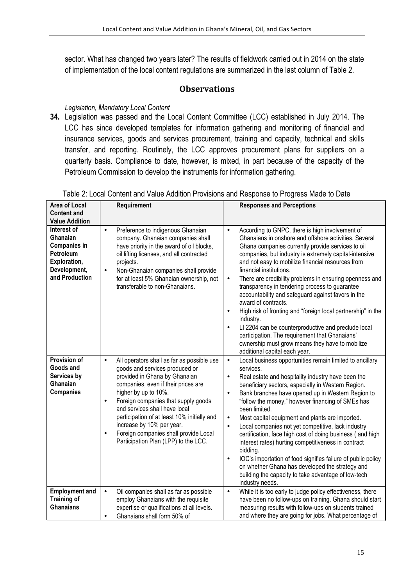sector. What has changed two years later? The results of fieldwork carried out in 2014 on the state of implementation of the local content regulations are summarized in the last column of Table 2.

## **Observations**

#### *Legislation, Mandatory Local Content*

**34.** Legislation was passed and the Local Content Committee (LCC) established in July 2014. The LCC has since developed templates for information gathering and monitoring of financial and insurance services, goods and services procurement, training and capacity, technical and skills transfer, and reporting. Routinely, the LCC approves procurement plans for suppliers on a quarterly basis. Compliance to date, however, is mixed, in part because of the capacity of the Petroleum Commission to develop the instruments for information gathering.

| Area of Local<br><b>Content and</b>                                                                           | Requirement                                                                                                                                                                                                                                                                                                                                                                                                                                              | <b>Responses and Perceptions</b>                                                                                                                                                                                                                                                                                                                                                                                                                                                                                                                                                                                                                                                                                                                                                                                                  |
|---------------------------------------------------------------------------------------------------------------|----------------------------------------------------------------------------------------------------------------------------------------------------------------------------------------------------------------------------------------------------------------------------------------------------------------------------------------------------------------------------------------------------------------------------------------------------------|-----------------------------------------------------------------------------------------------------------------------------------------------------------------------------------------------------------------------------------------------------------------------------------------------------------------------------------------------------------------------------------------------------------------------------------------------------------------------------------------------------------------------------------------------------------------------------------------------------------------------------------------------------------------------------------------------------------------------------------------------------------------------------------------------------------------------------------|
| <b>Value Addition</b>                                                                                         |                                                                                                                                                                                                                                                                                                                                                                                                                                                          |                                                                                                                                                                                                                                                                                                                                                                                                                                                                                                                                                                                                                                                                                                                                                                                                                                   |
| Interest of<br>Ghanaian<br><b>Companies in</b><br>Petroleum<br>Exploration,<br>Development,<br>and Production | $\bullet$<br>Preference to indigenous Ghanaian<br>company. Ghanaian companies shall<br>have priority in the award of oil blocks,<br>oil lifting licenses, and all contracted<br>projects.<br>Non-Ghanaian companies shall provide<br>$\bullet$<br>for at least 5% Ghanaian ownership, not<br>transferable to non-Ghanaians.                                                                                                                              | According to GNPC, there is high involvement of<br>$\bullet$<br>Ghanaians in onshore and offshore activities. Several<br>Ghana companies currently provide services to oil<br>companies, but industry is extremely capital-intensive<br>and not easy to mobilize financial resources from<br>financial institutions.<br>There are credibility problems in ensuring openness and<br>$\bullet$<br>transparency in tendering process to guarantee<br>accountability and safeguard against favors in the<br>award of contracts.<br>High risk of fronting and "foreign local partnership" in the<br>$\bullet$<br>industry.<br>LI 2204 can be counterproductive and preclude local<br>$\bullet$<br>participation. The requirement that Ghanaians'<br>ownership must grow means they have to mobilize<br>additional capital each year.   |
| Provision of<br>Goods and<br>Services by<br>Ghanaian<br><b>Companies</b>                                      | All operators shall as far as possible use<br>$\bullet$<br>goods and services produced or<br>provided in Ghana by Ghanaian<br>companies, even if their prices are<br>higher by up to 10%.<br>Foreign companies that supply goods<br>$\bullet$<br>and services shall have local<br>participation of at least 10% initially and<br>increase by 10% per year.<br>Foreign companies shall provide Local<br>$\bullet$<br>Participation Plan (LPP) to the LCC. | Local business opportunities remain limited to ancillary<br>$\bullet$<br>services.<br>Real estate and hospitality industry have been the<br>$\bullet$<br>beneficiary sectors, especially in Western Region.<br>Bank branches have opened up in Western Region to<br>$\bullet$<br>"follow the money," however financing of SMEs has<br>been limited.<br>Most capital equipment and plants are imported.<br>$\bullet$<br>Local companies not yet competitive, lack industry<br>$\bullet$<br>certification, face high cost of doing business ( and high<br>interest rates) hurting competitiveness in contract<br>bidding.<br>IOC's importation of food signifies failure of public policy<br>$\bullet$<br>on whether Ghana has developed the strategy and<br>building the capacity to take advantage of low-tech<br>industry needs. |
| <b>Employment and</b><br><b>Training of</b><br><b>Ghanaians</b>                                               | $\bullet$<br>Oil companies shall as far as possible<br>employ Ghanaians with the requisite<br>expertise or qualifications at all levels.<br>Ghanaians shall form 50% of<br>$\bullet$                                                                                                                                                                                                                                                                     | While it is too early to judge policy effectiveness, there<br>$\bullet$<br>have been no follow-ups on training. Ghana should start<br>measuring results with follow-ups on students trained<br>and where they are going for jobs. What percentage of                                                                                                                                                                                                                                                                                                                                                                                                                                                                                                                                                                              |

#### Table 2: Local Content and Value Addition Provisions and Response to Progress Made to Date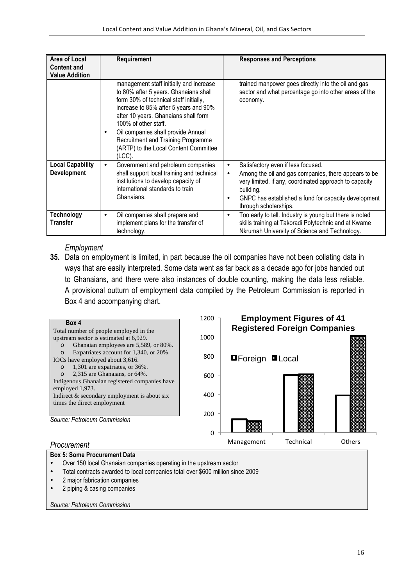| Area of Local<br><b>Content and</b><br><b>Value Addition</b> | Requirement                                                                                                                                                                                                                                                                                                                                                             | <b>Responses and Perceptions</b>                                                                                                                                                                                                                                  |
|--------------------------------------------------------------|-------------------------------------------------------------------------------------------------------------------------------------------------------------------------------------------------------------------------------------------------------------------------------------------------------------------------------------------------------------------------|-------------------------------------------------------------------------------------------------------------------------------------------------------------------------------------------------------------------------------------------------------------------|
|                                                              | management staff initially and increase<br>to 80% after 5 years. Ghanaians shall<br>form 30% of technical staff initially,<br>increase to 85% after 5 years and 90%<br>after 10 years. Ghanaians shall form<br>100% of other staff.<br>Oil companies shall provide Annual<br>٠<br>Recruitment and Training Programme<br>(ARTP) to the Local Content Committee<br>(LCC). | trained manpower goes directly into the oil and gas<br>sector and what percentage go into other areas of the<br>economy.                                                                                                                                          |
| <b>Local Capability</b><br><b>Development</b>                | Government and petroleum companies<br>٠<br>shall support local training and technical<br>institutions to develop capacity of<br>international standards to train<br>Ghanaians.                                                                                                                                                                                          | Satisfactory even if less focused.<br>٠<br>Among the oil and gas companies, there appears to be<br>٠<br>very limited, if any, coordinated approach to capacity<br>building.<br>GNPC has established a fund for capacity development<br>٠<br>through scholarships. |
| <b>Technology</b><br><b>Transfer</b>                         | Oil companies shall prepare and<br>٠<br>implement plans for the transfer of<br>technology,                                                                                                                                                                                                                                                                              | Too early to tell. Industry is young but there is noted<br>٠<br>skills training at Takoradi Polytechnic and at Kwame<br>Nkrumah University of Science and Technology.                                                                                             |

#### *Employment*

- **35.** Data on employment is limited, in part because the oil companies have not been collating data in ways that are easily interpreted. Some data went as far back as a decade ago for jobs handed out to Ghanaians, and there were also instances of double counting, making the data less reliable.
	- A provisional outturn of employment data compiled by the Petroleum Commission is reported in

Box 4 and accompanying chart.



#### **Box 5: Some Procurement Data**

- Over 150 local Ghanaian companies operating in the upstream sector
- Total contracts awarded to local companies total over \$600 million since 2009
- 2 major fabrication companies
- 2 piping & casing companies

*Source: Petroleum Commission*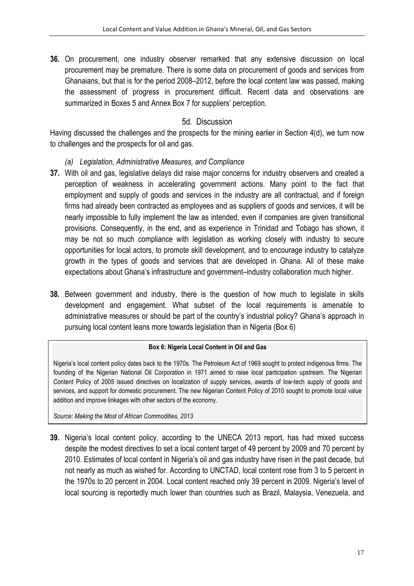**36.** On procurement, one industry observer remarked that any extensive discussion on local procurement may be premature. There is some data on procurement of goods and services from Ghanaians, but that is for the period 2008–2012, before the local content law was passed, making the assessment of progress in procurement difficult. Recent data and observations are summarized in Boxes 5 and Annex Box 7 for suppliers' perception.

## 5d*.* Discussion

Having discussed the challenges and the prospects for the mining earlier in Section 4(d), we turn now to challenges and the prospects for oil and gas.

- *(a) Legislation, Administrative Measures, and Compliance*
- **37.** With oil and gas, legislative delays did raise major concerns for industry observers and created a perception of weakness in accelerating government actions. Many point to the fact that employment and supply of goods and services in the industry are all contractual, and if foreign firms had already been contracted as employees and as suppliers of goods and services, it will be nearly impossible to fully implement the law as intended, even if companies are given transitional provisions. Consequently, in the end, and as experience in Trinidad and Tobago has shown, it may be not so much compliance with legislation as working closely with industry to secure opportunities for local actors, to promote skill development, and to encourage industry to catalyze growth in the types of goods and services that are developed in Ghana. All of these make expectations about Ghana's infrastructure and government–industry collaboration much higher.
- **38.** Between government and industry, there is the question of how much to legislate in skills development and engagement. What subset of the local requirements is amenable to administrative measures or should be part of the country's industrial policy? Ghana's approach in pursuing local content leans more towards legislation than in Nigeria (Box 6)

#### **Box 6: Nigeria Local Content in Oil and Gas**

Nigeria's local content policy dates back to the 1970s. The Petroleum Act of 1969 sought to protect indigenous firms. The founding of the Nigerian National Oil Corporation in 1971 aimed to raise local participation upstream. The Nigerian Content Policy of 2005 issued directives on localization of supply services, awards of low-tech supply of goods and services, and support for domestic procurement. The new Nigerian Content Policy of 2010 sought to promote local value addition and improve linkages with other sectors of the economy.

*Source: Making the Most of African Commodities, 2013*

**39.** Nigeria's local content policy, according to the UNECA 2013 report, has had mixed success despite the modest directives to set a local content target of 49 percent by 2009 and 70 percent by 2010. Estimates of local content in Nigeria's oil and gas industry have risen in the past decade, but not nearly as much as wished for. According to UNCTAD, local content rose from 3 to 5 percent in the 1970s to 20 percent in 2004. Local content reached only 39 percent in 2009. Nigeria's level of local sourcing is reportedly much lower than countries such as Brazil, Malaysia, Venezuela, and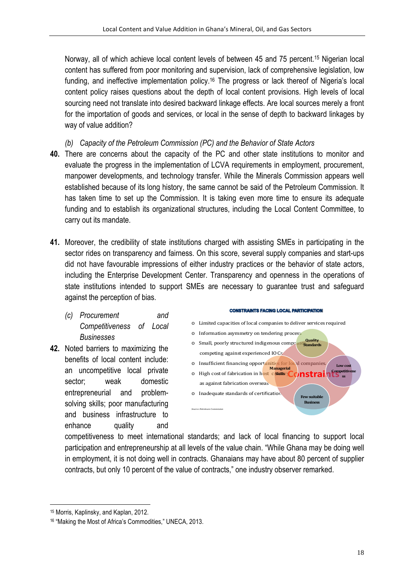Norway, all of which achieve local content levels of between 45 and 75 percent.15 Nigerian local content has suffered from poor monitoring and supervision, lack of comprehensive legislation, low funding, and ineffective implementation policy.<sup>16</sup> The progress or lack thereof of Nigeria's local content policy raises questions about the depth of local content provisions. High levels of local sourcing need not translate into desired backward linkage effects. Are local sources merely a front for the importation of goods and services, or local in the sense of depth to backward linkages by way of value addition?

*(b) Capacity of the Petroleum Commission (PC) and the Behavior of State Actors*

- **40.** There are concerns about the capacity of the PC and other state institutions to monitor and evaluate the progress in the implementation of LCVA requirements in employment, procurement, manpower developments, and technology transfer. While the Minerals Commission appears well established because of its long history, the same cannot be said of the Petroleum Commission. It has taken time to set up the Commission. It is taking even more time to ensure its adequate funding and to establish its organizational structures, including the Local Content Committee, to carry out its mandate.
- **41.** Moreover, the credibility of state institutions charged with assisting SMEs in participating in the sector rides on transparency and fairness. On this score, several supply companies and start-ups did not have favourable impressions of either industry practices or the behavior of state actors, including the Enterprise Development Center. Transparency and openness in the operations of state institutions intended to support SMEs are necessary to guarantee trust and safeguard against the perception of bias.
	- *(c) Procurement and Competitiveness of Local Businesses*
- **42.** Noted barriers to maximizing the benefits of local content include: an uncompetitive local private sector; weak domestic entrepreneurial and problemsolving skills; poor manufacturing and business infrastructure to enhance quality and

#### **CONSTRAINTS FACING LOCAL PARTICIPATION**

- $\circ~$  Limited capacities of local companies to deliver services required
- o Information asymmetry on tendering process
- o Small, poorly structured indigenous companies competing against experienced IOCs **Quality Standards**
- o Insufficient financing opportunities for local companies **Low** cos **Managerial**
- o High cost of fabrication in host c**skills Constraints Competitivene ss**
- as against fabrication overseas  $\circ$  Inadequate standards of certification **Few suitable Business**

competitiveness to meet international standards; and lack of local financing to support local participation and entrepreneurship at all levels of the value chain. "While Ghana may be doing well in employment, it is not doing well in contracts. Ghanaians may have about 80 percent of supplier contracts, but only 10 percent of the value of contracts," one industry observer remarked.

*Source: Petroleum Commission*

<sup>&</sup>lt;u> 1989 - Jan Samuel Barbara, margaret e</u> <sup>15</sup> Morris, Kaplinsky, and Kaplan, 2012.

<sup>16</sup> "Making the Most of Africa's Commodities," UNECA, 2013.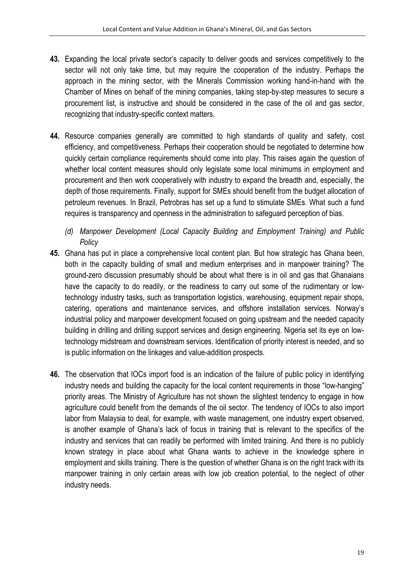- **43.** Expanding the local private sector's capacity to deliver goods and services competitively to the sector will not only take time, but may require the cooperation of the industry. Perhaps the approach in the mining sector, with the Minerals Commission working hand-in-hand with the Chamber of Mines on behalf of the mining companies, taking step-by-step measures to secure a procurement list, is instructive and should be considered in the case of the oil and gas sector, recognizing that industry-specific context matters.
- **44.** Resource companies generally are committed to high standards of quality and safety, cost efficiency, and competitiveness. Perhaps their cooperation should be negotiated to determine how quickly certain compliance requirements should come into play. This raises again the question of whether local content measures should only legislate some local minimums in employment and procurement and then work cooperatively with industry to expand the breadth and, especially, the depth of those requirements. Finally, support for SMEs should benefit from the budget allocation of petroleum revenues. In Brazil, Petrobras has set up a fund to stimulate SMEs. What such a fund requires is transparency and openness in the administration to safeguard perception of bias.
	- *(d) Manpower Development (Local Capacity Building and Employment Training) and Public Policy*
- **45.** Ghana has put in place a comprehensive local content plan. But how strategic has Ghana been, both in the capacity building of small and medium enterprises and in manpower training? The ground-zero discussion presumably should be about what there is in oil and gas that Ghanaians have the capacity to do readily, or the readiness to carry out some of the rudimentary or lowtechnology industry tasks, such as transportation logistics, warehousing, equipment repair shops, catering, operations and maintenance services, and offshore installation services. Norway's industrial policy and manpower development focused on going upstream and the needed capacity building in drilling and drilling support services and design engineering. Nigeria set its eye on lowtechnology midstream and downstream services. Identification of priority interest is needed, and so is public information on the linkages and value-addition prospects.
- **46.** The observation that IOCs import food is an indication of the failure of public policy in identifying industry needs and building the capacity for the local content requirements in those "low-hanging" priority areas. The Ministry of Agriculture has not shown the slightest tendency to engage in how agriculture could benefit from the demands of the oil sector. The tendency of IOCs to also import labor from Malaysia to deal, for example, with waste management, one industry expert observed, is another example of Ghana's lack of focus in training that is relevant to the specifics of the industry and services that can readily be performed with limited training. And there is no publicly known strategy in place about what Ghana wants to achieve in the knowledge sphere in employment and skills training. There is the question of whether Ghana is on the right track with its manpower training in only certain areas with low job creation potential, to the neglect of other industry needs.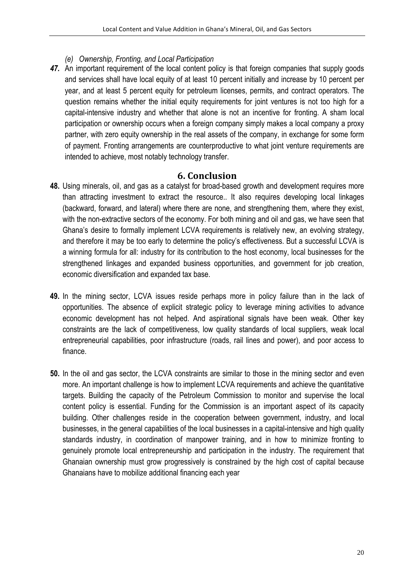- *(e) Ownership, Fronting, and Local Participation*
- *47.* An important requirement of the local content policy is that foreign companies that supply goods and services shall have local equity of at least 10 percent initially and increase by 10 percent per year, and at least 5 percent equity for petroleum licenses, permits, and contract operators. The question remains whether the initial equity requirements for joint ventures is not too high for a capital-intensive industry and whether that alone is not an incentive for fronting. A sham local participation or ownership occurs when a foreign company simply makes a local company a proxy partner, with zero equity ownership in the real assets of the company, in exchange for some form of payment. Fronting arrangements are counterproductive to what joint venture requirements are intended to achieve, most notably technology transfer.

#### **6. Conclusion**

- **48.** Using minerals, oil, and gas as a catalyst for broad-based growth and development requires more than attracting investment to extract the resource.. It also requires developing local linkages (backward, forward, and lateral) where there are none, and strengthening them, where they exist, with the non-extractive sectors of the economy. For both mining and oil and gas, we have seen that Ghana's desire to formally implement LCVA requirements is relatively new, an evolving strategy, and therefore it may be too early to determine the policy's effectiveness. But a successful LCVA is a winning formula for all: industry for its contribution to the host economy, local businesses for the strengthened linkages and expanded business opportunities, and government for job creation, economic diversification and expanded tax base.
- **49.** In the mining sector, LCVA issues reside perhaps more in policy failure than in the lack of opportunities. The absence of explicit strategic policy to leverage mining activities to advance economic development has not helped. And aspirational signals have been weak. Other key constraints are the lack of competitiveness, low quality standards of local suppliers, weak local entrepreneurial capabilities, poor infrastructure (roads, rail lines and power), and poor access to finance.
- **50.** In the oil and gas sector, the LCVA constraints are similar to those in the mining sector and even more. An important challenge is how to implement LCVA requirements and achieve the quantitative targets. Building the capacity of the Petroleum Commission to monitor and supervise the local content policy is essential. Funding for the Commission is an important aspect of its capacity building. Other challenges reside in the cooperation between government, industry, and local businesses, in the general capabilities of the local businesses in a capital-intensive and high quality standards industry, in coordination of manpower training, and in how to minimize fronting to genuinely promote local entrepreneurship and participation in the industry. The requirement that Ghanaian ownership must grow progressively is constrained by the high cost of capital because Ghanaians have to mobilize additional financing each year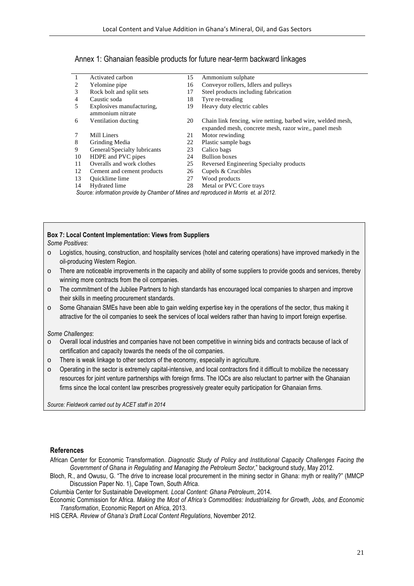| Annex 1: Ghanaian feasible products for future near-term backward linkages |
|----------------------------------------------------------------------------|
|----------------------------------------------------------------------------|

| $\overline{1}$ | Activated carbon                                                                      | 15 | Ammonium sulphate                                           |  |
|----------------|---------------------------------------------------------------------------------------|----|-------------------------------------------------------------|--|
| 2              | Yelomine pipe                                                                         | 16 | Conveyor rollers, Idlers and pulleys                        |  |
| 3              | Rock bolt and split sets                                                              | 17 | Steel products including fabrication                        |  |
| 4              | Caustic soda                                                                          | 18 | Tyre re-treading                                            |  |
| 5              | Explosives manufacturing.                                                             | 19 | Heavy duty electric cables                                  |  |
|                | ammonium nitrate                                                                      |    |                                                             |  |
| 6              | Ventilation ducting                                                                   | 20 | Chain link fencing, wire netting, barbed wire, welded mesh, |  |
|                |                                                                                       |    | expanded mesh, concrete mesh, razor wire, panel mesh        |  |
| 7              | Mill Liners                                                                           | 21 | Motor rewinding                                             |  |
| 8              | Grinding Media                                                                        | 22 | Plastic sample bags                                         |  |
| 9              | General/Specialty lubricants                                                          | 23 | Calico bags                                                 |  |
| 10             | HDPE and PVC pipes                                                                    | 24 | <b>Bullion</b> boxes                                        |  |
| 11             | Overalls and work clothes                                                             | 25 | Reversed Engineering Specialty products                     |  |
| 12             | Cement and cement products                                                            | 26 | Cupels & Crucibles                                          |  |
| 13             | Quicklime lime                                                                        | 27 | Wood products                                               |  |
| 14             | Hydrated lime                                                                         | 28 | Metal or PVC Core trays                                     |  |
|                | Source: information provide by Chamber of Mines and reproduced in Morris et. al 2012. |    |                                                             |  |

# **Box 7: Local Content Implementation: Views from Suppliers**

*Some Positives*:

- $\circ$  Logistics, housing, construction, and hospitality services (hotel and catering operations) have improved markedly in the oil-producing Western Region.
- o There are noticeable improvements in the capacity and ability of some suppliers to provide goods and services, thereby winning more contracts from the oil companies.
- o The commitment of the Jubilee Partners to high standards has encouraged local companies to sharpen and improve their skills in meeting procurement standards.
- o Some Ghanaian SMEs have been able to gain welding expertise key in the operations of the sector, thus making it attractive for the oil companies to seek the services of local welders rather than having to import foreign expertise.

*Some Challenges*:

- o Overall local industries and companies have not been competitive in winning bids and contracts because of lack of certification and capacity towards the needs of the oil companies.
- o There is weak linkage to other sectors of the economy, especially in agriculture.
- $\circ$  Operating in the sector is extremely capital-intensive, and local contractors find it difficult to mobilize the necessary resources for joint venture partnerships with foreign firms. The IOCs are also reluctant to partner with the Ghanaian firms since the local content law prescribes progressively greater equity participation for Ghanaian firms.

*Source: Fieldwork carried out by ACET staff in 2014*

#### **References**

- African Center for Economic Transformation. *Diagnostic Study of Policy and Institutional Capacity Challenges Facing the Government of Ghana in Regulating and Managing the Petroleum Sector,*" background study, May 2012.
- Bloch, R., and Owusu, G. "The drive to increase local procurement in the mining sector in Ghana: myth or reality?" (MMCP Discussion Paper No. 1), Cape Town, South Africa.

Columbia Center for Sustainable Development. *Local Content: Ghana Petroleum*, 2014.

Economic Commission for Africa. *Making the Most of Africa's Commodities: Industrializing for Growth, Jobs, and Economic Transformation*, Economic Report on Africa, 2013.

HIS CERA. *Review of Ghana's Draft Local Content Regulations*, November 2012.